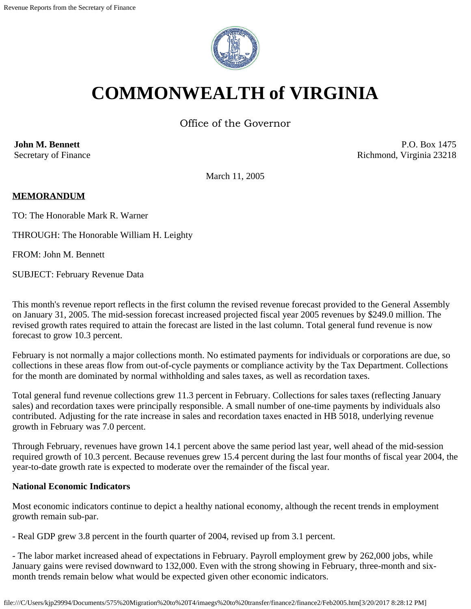

# **COMMONWEALTH of VIRGINIA**

Office of the Governor

**John M. Bennett** Secretary of Finance

P.O. Box 1475 Richmond, Virginia 23218

March 11, 2005

### **MEMORANDUM**

TO: The Honorable Mark R. Warner

THROUGH: The Honorable William H. Leighty

FROM: John M. Bennett

SUBJECT: February Revenue Data

This month's revenue report reflects in the first column the revised revenue forecast provided to the General Assembly on January 31, 2005. The mid-session forecast increased projected fiscal year 2005 revenues by \$249.0 million. The revised growth rates required to attain the forecast are listed in the last column. Total general fund revenue is now forecast to grow 10.3 percent.

February is not normally a major collections month. No estimated payments for individuals or corporations are due, so collections in these areas flow from out-of-cycle payments or compliance activity by the Tax Department. Collections for the month are dominated by normal withholding and sales taxes, as well as recordation taxes.

Total general fund revenue collections grew 11.3 percent in February. Collections for sales taxes (reflecting January sales) and recordation taxes were principally responsible. A small number of one-time payments by individuals also contributed. Adjusting for the rate increase in sales and recordation taxes enacted in HB 5018, underlying revenue growth in February was 7.0 percent.

Through February, revenues have grown 14.1 percent above the same period last year, well ahead of the mid-session required growth of 10.3 percent. Because revenues grew 15.4 percent during the last four months of fiscal year 2004, the year-to-date growth rate is expected to moderate over the remainder of the fiscal year.

#### **National Economic Indicators**

Most economic indicators continue to depict a healthy national economy, although the recent trends in employment growth remain sub-par.

- Real GDP grew 3.8 percent in the fourth quarter of 2004, revised up from 3.1 percent.

- The labor market increased ahead of expectations in February. Payroll employment grew by 262,000 jobs, while January gains were revised downward to 132,000. Even with the strong showing in February, three-month and sixmonth trends remain below what would be expected given other economic indicators.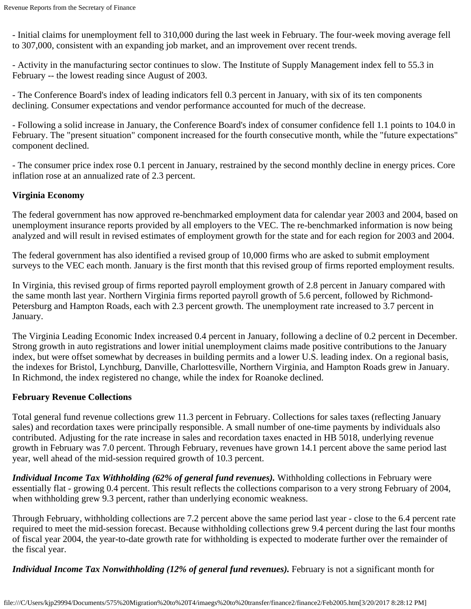- Initial claims for unemployment fell to 310,000 during the last week in February. The four-week moving average fell to 307,000, consistent with an expanding job market, and an improvement over recent trends.

- Activity in the manufacturing sector continues to slow. The Institute of Supply Management index fell to 55.3 in February -- the lowest reading since August of 2003.

- The Conference Board's index of leading indicators fell 0.3 percent in January, with six of its ten components declining. Consumer expectations and vendor performance accounted for much of the decrease.

- Following a solid increase in January, the Conference Board's index of consumer confidence fell 1.1 points to 104.0 in February. The "present situation" component increased for the fourth consecutive month, while the "future expectations" component declined.

- The consumer price index rose 0.1 percent in January, restrained by the second monthly decline in energy prices. Core inflation rose at an annualized rate of 2.3 percent.

### **Virginia Economy**

The federal government has now approved re-benchmarked employment data for calendar year 2003 and 2004, based on unemployment insurance reports provided by all employers to the VEC. The re-benchmarked information is now being analyzed and will result in revised estimates of employment growth for the state and for each region for 2003 and 2004.

The federal government has also identified a revised group of 10,000 firms who are asked to submit employment surveys to the VEC each month. January is the first month that this revised group of firms reported employment results.

In Virginia, this revised group of firms reported payroll employment growth of 2.8 percent in January compared with the same month last year. Northern Virginia firms reported payroll growth of 5.6 percent, followed by Richmond-Petersburg and Hampton Roads, each with 2.3 percent growth. The unemployment rate increased to 3.7 percent in January.

The Virginia Leading Economic Index increased 0.4 percent in January, following a decline of 0.2 percent in December. Strong growth in auto registrations and lower initial unemployment claims made positive contributions to the January index, but were offset somewhat by decreases in building permits and a lower U.S. leading index. On a regional basis, the indexes for Bristol, Lynchburg, Danville, Charlottesville, Northern Virginia, and Hampton Roads grew in January. In Richmond, the index registered no change, while the index for Roanoke declined.

## **February Revenue Collections**

Total general fund revenue collections grew 11.3 percent in February. Collections for sales taxes (reflecting January sales) and recordation taxes were principally responsible. A small number of one-time payments by individuals also contributed. Adjusting for the rate increase in sales and recordation taxes enacted in HB 5018, underlying revenue growth in February was 7.0 percent. Through February, revenues have grown 14.1 percent above the same period last year, well ahead of the mid-session required growth of 10.3 percent.

*Individual Income Tax Withholding (62% of general fund revenues).* Withholding collections in February were essentially flat - growing 0.4 percent. This result reflects the collections comparison to a very strong February of 2004, when withholding grew 9.3 percent, rather than underlying economic weakness.

Through February, withholding collections are 7.2 percent above the same period last year - close to the 6.4 percent rate required to meet the mid-session forecast. Because withholding collections grew 9.4 percent during the last four months of fiscal year 2004, the year-to-date growth rate for withholding is expected to moderate further over the remainder of the fiscal year.

*Individual Income Tax Nonwithholding (12% of general fund revenues).* February is not a significant month for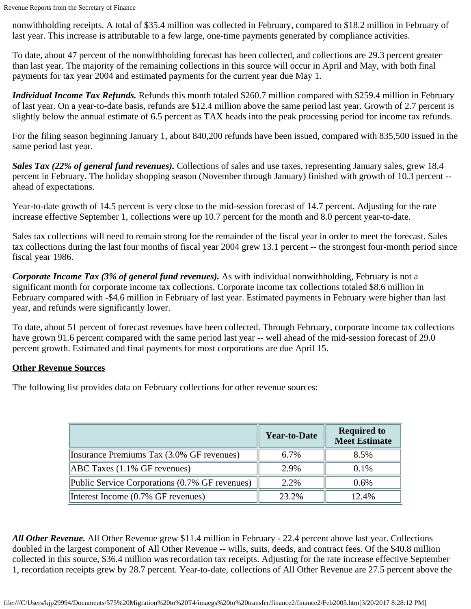nonwithholding receipts. A total of \$35.4 million was collected in February, compared to \$18.2 million in February of last year. This increase is attributable to a few large, one-time payments generated by compliance activities.

To date, about 47 percent of the nonwithholding forecast has been collected, and collections are 29.3 percent greater than last year. The majority of the remaining collections in this source will occur in April and May, with both final payments for tax year 2004 and estimated payments for the current year due May 1.

*Individual Income Tax Refunds.* Refunds this month totaled \$260.7 million compared with \$259.4 million in February of last year. On a year-to-date basis, refunds are \$12.4 million above the same period last year. Growth of 2.7 percent is slightly below the annual estimate of 6.5 percent as TAX heads into the peak processing period for income tax refunds.

For the filing season beginning January 1, about 840,200 refunds have been issued, compared with 835,500 issued in the same period last year.

*Sales Tax (22% of general fund revenues).* Collections of sales and use taxes, representing January sales, grew 18.4 percent in February. The holiday shopping season (November through January) finished with growth of 10.3 percent - ahead of expectations.

Year-to-date growth of 14.5 percent is very close to the mid-session forecast of 14.7 percent. Adjusting for the rate increase effective September 1, collections were up 10.7 percent for the month and 8.0 percent year-to-date.

Sales tax collections will need to remain strong for the remainder of the fiscal year in order to meet the forecast. Sales tax collections during the last four months of fiscal year 2004 grew 13.1 percent -- the strongest four-month period since fiscal year 1986.

*Corporate Income Tax (3% of general fund revenues).* As with individual nonwithholding, February is not a significant month for corporate income tax collections. Corporate income tax collections totaled \$8.6 million in February compared with -\$4.6 million in February of last year. Estimated payments in February were higher than last year, and refunds were significantly lower.

To date, about 51 percent of forecast revenues have been collected. Through February, corporate income tax collections have grown 91.6 percent compared with the same period last year -- well ahead of the mid-session forecast of 29.0 percent growth. Estimated and final payments for most corporations are due April 15.

## **Other Revenue Sources**

The following list provides data on February collections for other revenue sources:

|                                                | <b>Year-to-Date</b> | <b>Required to</b><br><b>Meet Estimate</b> |
|------------------------------------------------|---------------------|--------------------------------------------|
| Insurance Premiums Tax (3.0% GF revenues)      | 6.7%                | 8.5%                                       |
| $[ABC$ Taxes $(1.1\%$ GF revenues)             | 2.9%                | 0.1%                                       |
| Public Service Corporations (0.7% GF revenues) | 2.2%                | 0.6%                                       |
| Interest Income (0.7% GF revenues)             | 23.2%               | 12.4%                                      |

*All Other Revenue.* All Other Revenue grew \$11.4 million in February - 22.4 percent above last year. Collections doubled in the largest component of All Other Revenue -- wills, suits, deeds, and contract fees. Of the \$40.8 million collected in this source, \$36.4 million was recordation tax receipts. Adjusting for the rate increase effective September 1, recordation receipts grew by 28.7 percent. Year-to-date, collections of All Other Revenue are 27.5 percent above the